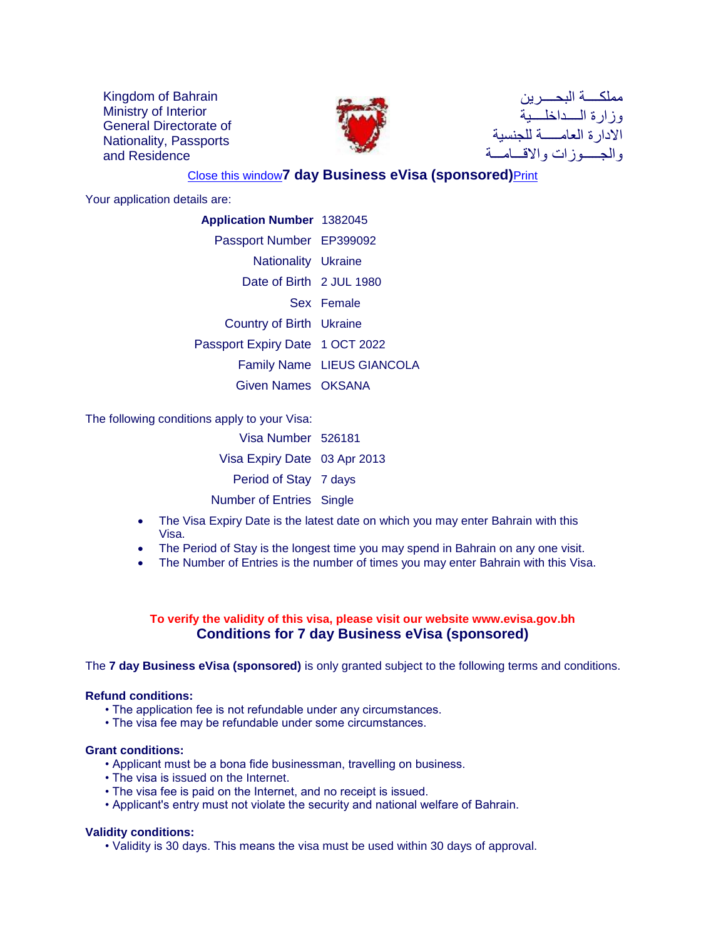Kingdom of Bahrain Ministry of Interior General Directorate of Nationality, Passports and Residence



مملكــــة البحــــرين وزارة الــــداخلــــية الادارة العامـــــة للجنسية والجـــــوزات والاقـــامـــة

# [Close this window](javascript:window.close())**7 day Business eVisa (sponsored)**[Print](javascript:print())

Your application details are:

| <b>Application Number 1382045</b> |
|-----------------------------------|
| Passport Number EP399092          |
| <b>Nationality Ukraine</b>        |
| Date of Birth 2 JUL 1980          |
| Sex Female                        |
| Country of Birth Ukraine          |
| Passport Expiry Date 1 OCT 2022   |
| Family Name LIEUS GIANCOLA        |
| Given Names OKSANA                |
|                                   |

The following conditions apply to your Visa:

| Visa Number 526181              |  |
|---------------------------------|--|
| Visa Expiry Date 03 Apr 2013    |  |
| Period of Stay 7 days           |  |
| <b>Number of Entries Single</b> |  |

- The Visa Expiry Date is the latest date on which you may enter Bahrain with this Visa.
- The Period of Stay is the longest time you may spend in Bahrain on any one visit.
- The Number of Entries is the number of times you may enter Bahrain with this Visa.

## **To verify the validity of this visa, please visit our website www.evisa.gov.bh Conditions for 7 day Business eVisa (sponsored)**

The **7 day Business eVisa (sponsored)** is only granted subject to the following terms and conditions.

## **Refund conditions:**

- The application fee is not refundable under any circumstances.
- The visa fee may be refundable under some circumstances.

#### **Grant conditions:**

- Applicant must be a bona fide businessman, travelling on business.
- The visa is issued on the Internet.
- The visa fee is paid on the Internet, and no receipt is issued.
- Applicant's entry must not violate the security and national welfare of Bahrain.

## **Validity conditions:**

• Validity is 30 days. This means the visa must be used within 30 days of approval.